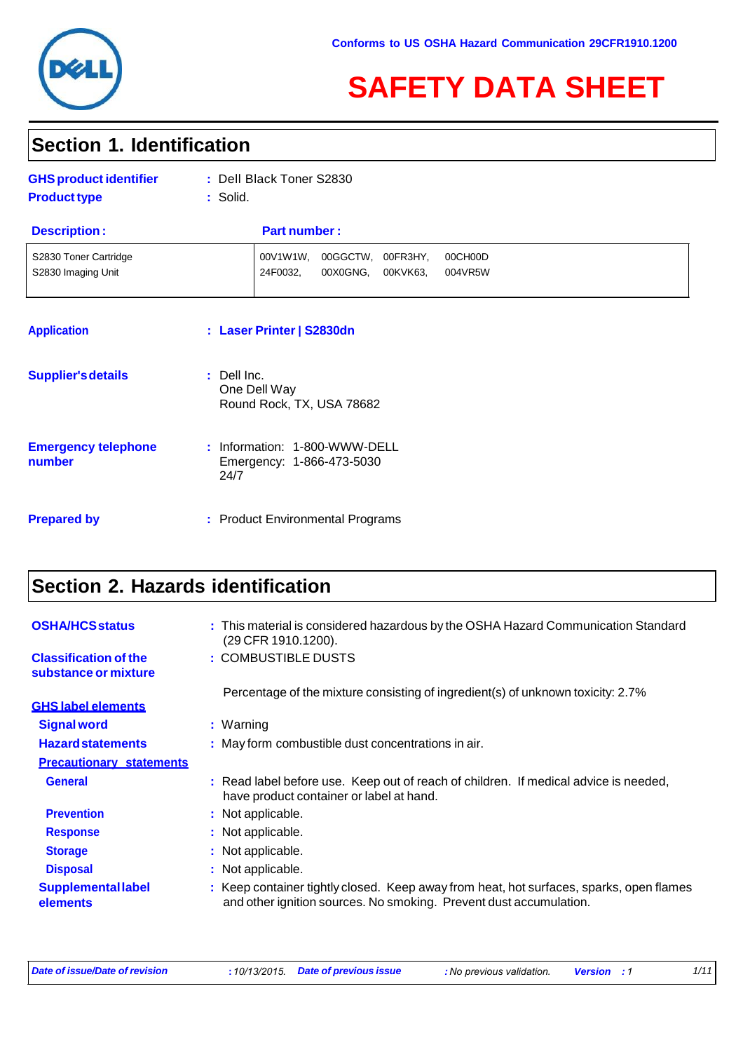

# **SAFETY DATA SHEET**

### **Section 1. Identification**

| <b>GHS product identifier</b><br><b>Product type</b> | : Dell Black Toner S2830<br>: Solid.                                                       |  |
|------------------------------------------------------|--------------------------------------------------------------------------------------------|--|
| <b>Description:</b>                                  | <b>Part number:</b>                                                                        |  |
| S2830 Toner Cartridge<br>S2830 Imaging Unit          | 00V1W1W.<br>00GGCTW,<br>00FR3HY,<br>00CH00D<br>24F0032,<br>00X0GNG,<br>00KVK63,<br>004VR5W |  |
| <b>Application</b>                                   | : Laser Printer   S2830dn                                                                  |  |
| <b>Supplier's details</b>                            | : Dell Inc.<br>One Dell Way<br>Round Rock, TX, USA 78682                                   |  |

| <b>Emergency telephone</b><br>number | : Information: 1-800-WWW-DELL<br>Emergency: 1-866-473-5030<br>24/7 |  |
|--------------------------------------|--------------------------------------------------------------------|--|
|                                      |                                                                    |  |

**Prepared by : Product Environmental Programs** 

## **Section 2. Hazards identification**

| <b>OSHA/HCS status</b>                               | : This material is considered hazardous by the OSHA Hazard Communication Standard<br>(29 CFR 1910.1200).                                                      |
|------------------------------------------------------|---------------------------------------------------------------------------------------------------------------------------------------------------------------|
| <b>Classification of the</b><br>substance or mixture | : COMBUSTIBLE DUSTS                                                                                                                                           |
|                                                      | Percentage of the mixture consisting of ingredient(s) of unknown toxicity: 2.7%                                                                               |
| <b>GHS label elements</b>                            |                                                                                                                                                               |
| <b>Signal word</b>                                   | : Warning                                                                                                                                                     |
| <b>Hazard statements</b>                             | : May form combustible dust concentrations in air.                                                                                                            |
| <b>Precautionary statements</b>                      |                                                                                                                                                               |
| <b>General</b>                                       | : Read label before use. Keep out of reach of children. If medical advice is needed,<br>have product container or label at hand.                              |
| <b>Prevention</b>                                    | : Not applicable.                                                                                                                                             |
| <b>Response</b>                                      | : Not applicable.                                                                                                                                             |
| <b>Storage</b>                                       | : Not applicable.                                                                                                                                             |
| <b>Disposal</b>                                      | : Not applicable.                                                                                                                                             |
| <b>Supplemental label</b><br>elements                | : Keep container tightly closed. Keep away from heat, hot surfaces, sparks, open flames<br>and other ignition sources. No smoking. Prevent dust accumulation. |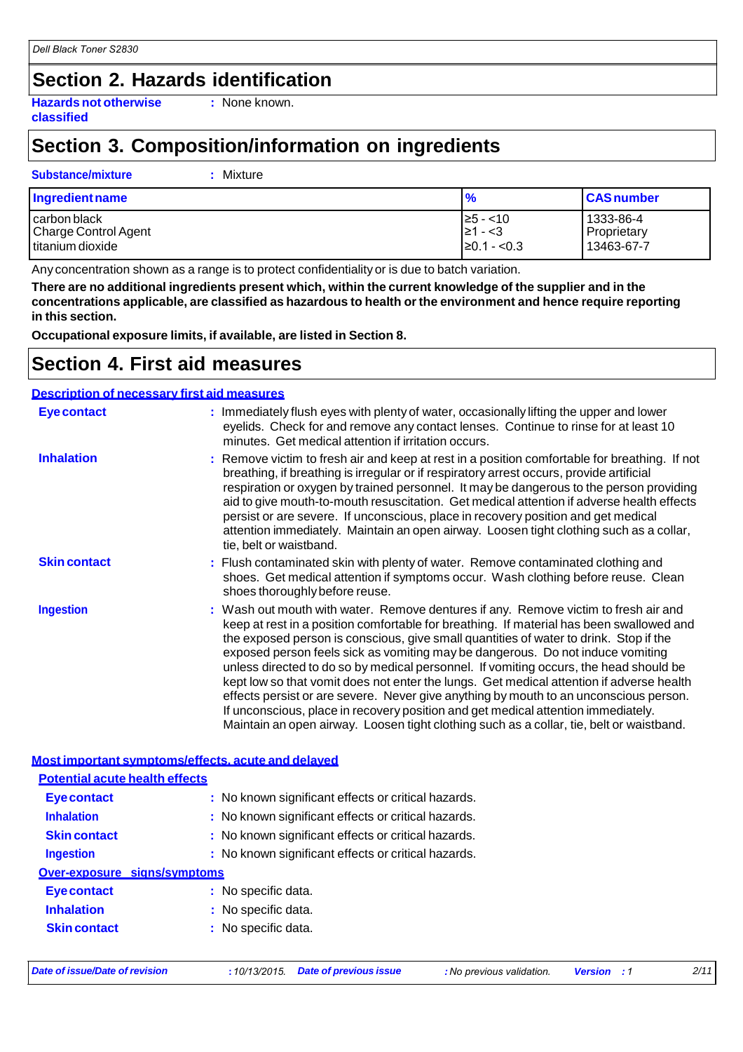### **Section 2. Hazards identification**

**Hazards not otherwise classified**

**:** None known.

### **Section 3. Composition/information on ingredients**

#### **Substance/mixture :** Mixture

| Ingredient name             | %                | <b>CAS</b> number |
|-----------------------------|------------------|-------------------|
| carbon black                | $\geq 5 - < 10$  | 1333-86-4         |
| <b>Charge Control Agent</b> | I≥1 - <3         | Proprietary       |
| titanium dioxide            | $\geq 0.1 - 0.3$ | 13463-67-7        |

Any concentration shown as a range is to protect confidentiality or is due to batch variation.

**There are no additional ingredients present which, within the current knowledge of the supplier and in the concentrations applicable, are classified as hazardous to health orthe environment and hence require reporting in this section.**

**Occupational exposure limits, if available, are listed in Section 8.**

### **Section 4. First aid measures**

#### **Description of necessary first aid measures**

| <b>Eye contact</b>  | : Immediately flush eyes with plenty of water, occasionally lifting the upper and lower<br>eyelids. Check for and remove any contact lenses. Continue to rinse for at least 10<br>minutes. Get medical attention if irritation occurs.                                                                                                                                                                                                                                                                                                                                                                                                                                                                                                                                                                                    |
|---------------------|---------------------------------------------------------------------------------------------------------------------------------------------------------------------------------------------------------------------------------------------------------------------------------------------------------------------------------------------------------------------------------------------------------------------------------------------------------------------------------------------------------------------------------------------------------------------------------------------------------------------------------------------------------------------------------------------------------------------------------------------------------------------------------------------------------------------------|
| <b>Inhalation</b>   | : Remove victim to fresh air and keep at rest in a position comfortable for breathing. If not<br>breathing, if breathing is irregular or if respiratory arrest occurs, provide artificial<br>respiration or oxygen by trained personnel. It may be dangerous to the person providing<br>aid to give mouth-to-mouth resuscitation. Get medical attention if adverse health effects<br>persist or are severe. If unconscious, place in recovery position and get medical<br>attention immediately. Maintain an open airway. Loosen tight clothing such as a collar,<br>tie, belt or waistband.                                                                                                                                                                                                                              |
| <b>Skin contact</b> | : Flush contaminated skin with plenty of water. Remove contaminated clothing and<br>shoes. Get medical attention if symptoms occur. Wash clothing before reuse. Clean<br>shoes thoroughly before reuse.                                                                                                                                                                                                                                                                                                                                                                                                                                                                                                                                                                                                                   |
| <b>Ingestion</b>    | : Wash out mouth with water. Remove dentures if any. Remove victim to fresh air and<br>keep at rest in a position comfortable for breathing. If material has been swallowed and<br>the exposed person is conscious, give small quantities of water to drink. Stop if the<br>exposed person feels sick as vomiting may be dangerous. Do not induce vomiting<br>unless directed to do so by medical personnel. If vomiting occurs, the head should be<br>kept low so that vomit does not enter the lungs. Get medical attention if adverse health<br>effects persist or are severe. Never give anything by mouth to an unconscious person.<br>If unconscious, place in recovery position and get medical attention immediately.<br>Maintain an open airway. Loosen tight clothing such as a collar, tie, belt or waistband. |

#### **Most important symptoms/effects, acute and delayed**

| <b>Potential acute health effects</b> |                                                     |  |
|---------------------------------------|-----------------------------------------------------|--|
| Eye contact                           | : No known significant effects or critical hazards. |  |
| <b>Inhalation</b>                     | : No known significant effects or critical hazards. |  |
| <b>Skin contact</b>                   | : No known significant effects or critical hazards. |  |
| <b>Ingestion</b>                      | : No known significant effects or critical hazards. |  |
| Over-exposure signs/symptoms          |                                                     |  |
| <b>Eye contact</b>                    | : No specific data.                                 |  |
| <b>Inhalation</b>                     | : No specific data.                                 |  |
| <b>Skin contact</b>                   | : No specific data.                                 |  |
|                                       |                                                     |  |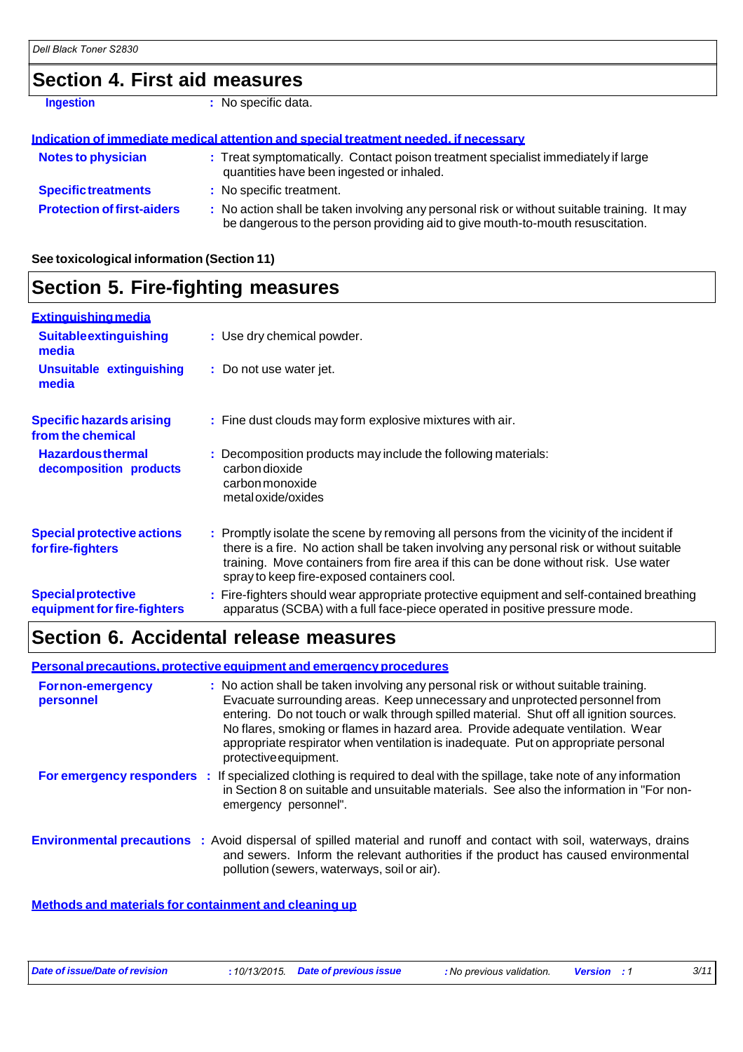### **Section 4. First aid measures**

**Ingestion : No specific data.** 

| Indication of immediate medical attention and special treatment needed, if necessary |                                                                                                                                                                               |  |  |
|--------------------------------------------------------------------------------------|-------------------------------------------------------------------------------------------------------------------------------------------------------------------------------|--|--|
| <b>Notes to physician</b>                                                            | : Treat symptomatically. Contact poison treatment specialist immediately if large<br>quantities have been ingested or inhaled.                                                |  |  |
| <b>Specific treatments</b>                                                           | : No specific treatment.                                                                                                                                                      |  |  |
| <b>Protection of first-aiders</b>                                                    | : No action shall be taken involving any personal risk or without suitable training. It may<br>be dangerous to the person providing aid to give mouth-to-mouth resuscitation. |  |  |

**See toxicological information (Section 11)**

| <b>Section 5. Fire-fighting measures</b>                 |                                                                                                                                                                                                                                                                                                                               |  |  |
|----------------------------------------------------------|-------------------------------------------------------------------------------------------------------------------------------------------------------------------------------------------------------------------------------------------------------------------------------------------------------------------------------|--|--|
| <b>Extinguishing media</b>                               |                                                                                                                                                                                                                                                                                                                               |  |  |
| <b>Suitableextinguishing</b><br>media                    | : Use dry chemical powder.                                                                                                                                                                                                                                                                                                    |  |  |
| <b>Unsuitable extinguishing</b><br>media                 | : Do not use water jet.                                                                                                                                                                                                                                                                                                       |  |  |
| <b>Specific hazards arising</b><br>from the chemical     | : Fine dust clouds may form explosive mixtures with air.                                                                                                                                                                                                                                                                      |  |  |
| <b>Hazardousthermal</b><br>decomposition products        | : Decomposition products may include the following materials:<br>carbon dioxide<br>carbon monoxide<br>metal oxide/oxides                                                                                                                                                                                                      |  |  |
| <b>Special protective actions</b><br>for fire-fighters   | : Promptly isolate the scene by removing all persons from the vicinity of the incident if<br>there is a fire. No action shall be taken involving any personal risk or without suitable<br>training. Move containers from fire area if this can be done without risk. Use water<br>spray to keep fire-exposed containers cool. |  |  |
| <b>Special protective</b><br>equipment for fire-fighters | : Fire-fighters should wear appropriate protective equipment and self-contained breathing<br>apparatus (SCBA) with a full face-piece operated in positive pressure mode.                                                                                                                                                      |  |  |

### **Section 6. Accidental release measures**

**Personal precautions, protective equipment and emergency procedures**

| <b>Fornon-emergency</b><br>personnel | : No action shall be taken involving any personal risk or without suitable training.<br>Evacuate surrounding areas. Keep unnecessary and unprotected personnel from<br>entering. Do not touch or walk through spilled material. Shut off all ignition sources.<br>No flares, smoking or flames in hazard area. Provide adequate ventilation. Wear<br>appropriate respirator when ventilation is inadequate. Put on appropriate personal<br>protective equipment. |
|--------------------------------------|------------------------------------------------------------------------------------------------------------------------------------------------------------------------------------------------------------------------------------------------------------------------------------------------------------------------------------------------------------------------------------------------------------------------------------------------------------------|
|                                      | For emergency responders : If specialized clothing is required to deal with the spillage, take note of any information<br>in Section 8 on suitable and unsuitable materials. See also the information in "For non-<br>emergency personnel".                                                                                                                                                                                                                      |
|                                      | <b>Environmental precautions</b> : Avoid dispersal of spilled material and runoff and contact with soil, waterways, drains<br>and sewers. Inform the relevant authorities if the product has caused environmental<br>pollution (sewers, waterways, soil or air).                                                                                                                                                                                                 |

**Methods and materials for containment and cleaning up**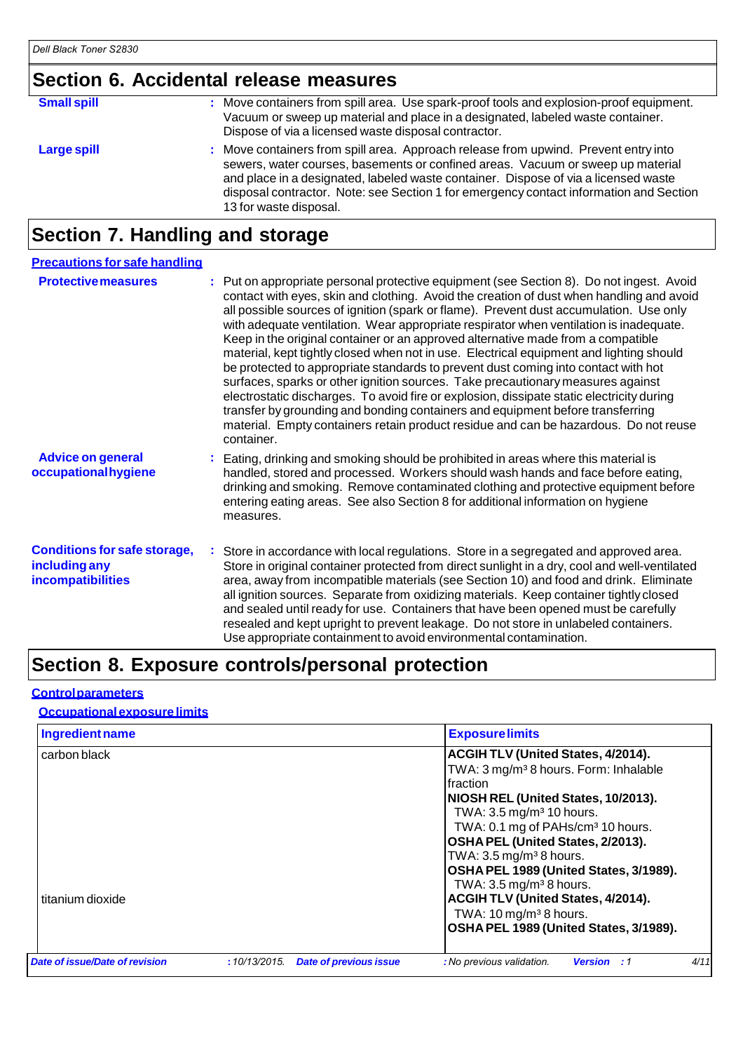## **Section 6. Accidental release measures**

| <b>Small spill</b> | : Move containers from spill area. Use spark-proof tools and explosion-proof equipment.<br>Vacuum or sweep up material and place in a designated, labeled waste container.<br>Dispose of via a licensed waste disposal contractor.                                                                                                                                                |
|--------------------|-----------------------------------------------------------------------------------------------------------------------------------------------------------------------------------------------------------------------------------------------------------------------------------------------------------------------------------------------------------------------------------|
| <b>Large spill</b> | : Move containers from spill area. Approach release from upwind. Prevent entry into<br>sewers, water courses, basements or confined areas. Vacuum or sweep up material<br>and place in a designated, labeled waste container. Dispose of via a licensed waste<br>disposal contractor. Note: see Section 1 for emergency contact information and Section<br>13 for waste disposal. |

## **Section 7. Handling and storage**

| <b>Precautions for safe handling</b>                                      |                                                                                                                                                                                                                                                                                                                                                                                                                                                                                                                                                                                                                                                                                                                                                                                                                                                                                                                                                                                                                       |
|---------------------------------------------------------------------------|-----------------------------------------------------------------------------------------------------------------------------------------------------------------------------------------------------------------------------------------------------------------------------------------------------------------------------------------------------------------------------------------------------------------------------------------------------------------------------------------------------------------------------------------------------------------------------------------------------------------------------------------------------------------------------------------------------------------------------------------------------------------------------------------------------------------------------------------------------------------------------------------------------------------------------------------------------------------------------------------------------------------------|
| <b>Protective measures</b>                                                | : Put on appropriate personal protective equipment (see Section 8). Do not ingest. Avoid<br>contact with eyes, skin and clothing. Avoid the creation of dust when handling and avoid<br>all possible sources of ignition (spark or flame). Prevent dust accumulation. Use only<br>with adequate ventilation. Wear appropriate respirator when ventilation is inadequate.<br>Keep in the original container or an approved alternative made from a compatible<br>material, kept tightly closed when not in use. Electrical equipment and lighting should<br>be protected to appropriate standards to prevent dust coming into contact with hot<br>surfaces, sparks or other ignition sources. Take precautionary measures against<br>electrostatic discharges. To avoid fire or explosion, dissipate static electricity during<br>transfer by grounding and bonding containers and equipment before transferring<br>material. Empty containers retain product residue and can be hazardous. Do not reuse<br>container. |
| <b>Advice on general</b><br>occupational hygiene                          | Eating, drinking and smoking should be prohibited in areas where this material is<br>handled, stored and processed. Workers should wash hands and face before eating,<br>drinking and smoking. Remove contaminated clothing and protective equipment before<br>entering eating areas. See also Section 8 for additional information on hygiene<br>measures.                                                                                                                                                                                                                                                                                                                                                                                                                                                                                                                                                                                                                                                           |
| <b>Conditions for safe storage,</b><br>including any<br>incompatibilities | Store in accordance with local regulations. Store in a segregated and approved area.<br>Store in original container protected from direct sunlight in a dry, cool and well-ventilated<br>area, away from incompatible materials (see Section 10) and food and drink. Eliminate<br>all ignition sources. Separate from oxidizing materials. Keep container tightly closed<br>and sealed until ready for use. Containers that have been opened must be carefully<br>resealed and kept upright to prevent leakage. Do not store in unlabeled containers.<br>Use appropriate containment to avoid environmental contamination.                                                                                                                                                                                                                                                                                                                                                                                            |

## **Section 8. Exposure controls/personal protection**

#### **Control parameters**

#### **Occupational exposure limits**

| Ingredient name                |                                               | <b>Exposurelimits</b>                                                                                                                                                                                                                                                                                                                                                                                           |
|--------------------------------|-----------------------------------------------|-----------------------------------------------------------------------------------------------------------------------------------------------------------------------------------------------------------------------------------------------------------------------------------------------------------------------------------------------------------------------------------------------------------------|
| carbon black                   |                                               | <b>ACGIH TLV (United States, 4/2014).</b><br>TWA: 3 mg/m <sup>3</sup> 8 hours. Form: Inhalable<br>Ifraction<br>NIOSH REL (United States, 10/2013).<br>TWA: $3.5 \,\mathrm{mg/m^3}$ 10 hours.<br>TWA: 0.1 mg of PAHs/cm <sup>3</sup> 10 hours.<br>OSHA PEL (United States, 2/2013).<br>TWA: $3.5 \,\mathrm{mg/m^3}$ 8 hours.<br>OSHA PEL 1989 (United States, 3/1989).<br>TWA: $3.5 \,\mathrm{mg/m^3\,8}$ hours. |
| titanium dioxide               |                                               | <b>ACGIH TLV (United States, 4/2014).</b><br>TWA: $10 \,\mathrm{mg/m^3}$ 8 hours.<br>OSHA PEL 1989 (United States, 3/1989).                                                                                                                                                                                                                                                                                     |
| Date of issue/Date of revision | <b>Date of previous issue</b><br>:10/13/2015. | 4/11<br>: No previous validation.<br><b>Version</b> : 1                                                                                                                                                                                                                                                                                                                                                         |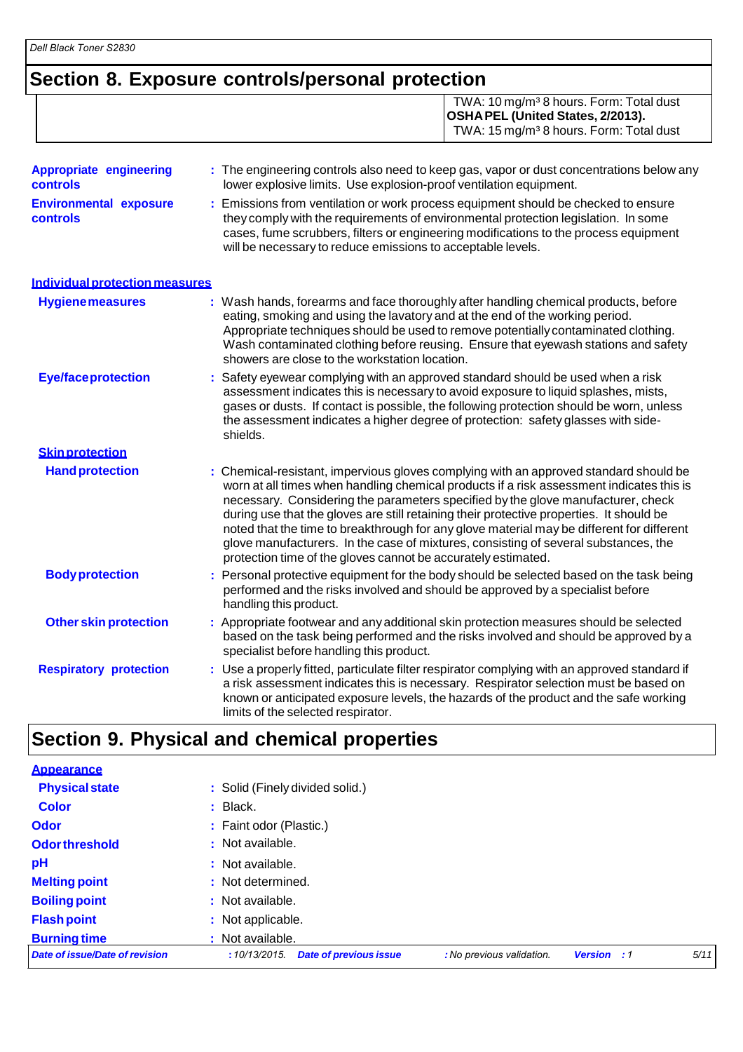*Dell Black Toner S2830*

## **Section 8. Exposure controls/personal protection**

TWA: 10 mg/m³ 8 hours. Form: Total dust **OSHAPEL (United States, 2/2013).** TWA: 15 mg/m<sup>3</sup> 8 hours. Form: Total dust

| <b>Appropriate engineering</b><br>controls | : The engineering controls also need to keep gas, vapor or dust concentrations below any<br>lower explosive limits. Use explosion-proof ventilation equipment.                                                                                                                                                                                                                                                                                                                                                                                                                                                         |
|--------------------------------------------|------------------------------------------------------------------------------------------------------------------------------------------------------------------------------------------------------------------------------------------------------------------------------------------------------------------------------------------------------------------------------------------------------------------------------------------------------------------------------------------------------------------------------------------------------------------------------------------------------------------------|
| <b>Environmental exposure</b><br>controls  | Emissions from ventilation or work process equipment should be checked to ensure<br>÷.<br>they comply with the requirements of environmental protection legislation. In some<br>cases, fume scrubbers, filters or engineering modifications to the process equipment<br>will be necessary to reduce emissions to acceptable levels.                                                                                                                                                                                                                                                                                    |
| Individual protection measures             |                                                                                                                                                                                                                                                                                                                                                                                                                                                                                                                                                                                                                        |
| <b>Hygiene measures</b>                    | : Wash hands, forearms and face thoroughly after handling chemical products, before<br>eating, smoking and using the lavatory and at the end of the working period.<br>Appropriate techniques should be used to remove potentially contaminated clothing.<br>Wash contaminated clothing before reusing. Ensure that eyewash stations and safety<br>showers are close to the workstation location.                                                                                                                                                                                                                      |
| <b>Eye/faceprotection</b>                  | Safety eyewear complying with an approved standard should be used when a risk<br>assessment indicates this is necessary to avoid exposure to liquid splashes, mists,<br>gases or dusts. If contact is possible, the following protection should be worn, unless<br>the assessment indicates a higher degree of protection: safety glasses with side-<br>shields.                                                                                                                                                                                                                                                       |
| <b>Skin protection</b>                     |                                                                                                                                                                                                                                                                                                                                                                                                                                                                                                                                                                                                                        |
| <b>Hand protection</b>                     | : Chemical-resistant, impervious gloves complying with an approved standard should be<br>worn at all times when handling chemical products if a risk assessment indicates this is<br>necessary. Considering the parameters specified by the glove manufacturer, check<br>during use that the gloves are still retaining their protective properties. It should be<br>noted that the time to breakthrough for any glove material may be different for different<br>glove manufacturers. In the case of mixtures, consisting of several substances, the<br>protection time of the gloves cannot be accurately estimated. |
| <b>Body protection</b>                     | Personal protective equipment for the body should be selected based on the task being<br>performed and the risks involved and should be approved by a specialist before<br>handling this product.                                                                                                                                                                                                                                                                                                                                                                                                                      |
| <b>Other skin protection</b>               | : Appropriate footwear and any additional skin protection measures should be selected<br>based on the task being performed and the risks involved and should be approved by a<br>specialist before handling this product.                                                                                                                                                                                                                                                                                                                                                                                              |
| <b>Respiratory protection</b>              | : Use a properly fitted, particulate filter respirator complying with an approved standard if<br>a risk assessment indicates this is necessary. Respirator selection must be based on<br>known or anticipated exposure levels, the hazards of the product and the safe working<br>limits of the selected respirator.                                                                                                                                                                                                                                                                                                   |

## **Section 9. Physical and chemical properties**

| <b>Appearance</b>              |                                                                                                          |
|--------------------------------|----------------------------------------------------------------------------------------------------------|
| <b>Physical state</b>          | : Solid (Finely divided solid.)                                                                          |
| <b>Color</b>                   | $:$ Black.                                                                                               |
| <b>Odor</b>                    | : Faint odor (Plastic.)                                                                                  |
| <b>Odor threshold</b>          | : Not available.                                                                                         |
| pH                             | : Not available.                                                                                         |
| <b>Melting point</b>           | : Not determined.                                                                                        |
| <b>Boiling point</b>           | : Not available.                                                                                         |
| <b>Flash point</b>             | : Not applicable.                                                                                        |
| <b>Burning time</b>            | : Not available.                                                                                         |
| Date of issue/Date of revision | 5/11<br><b>Date of previous issue</b><br>: No previous validation.<br><b>Version</b> : 1<br>:10/13/2015. |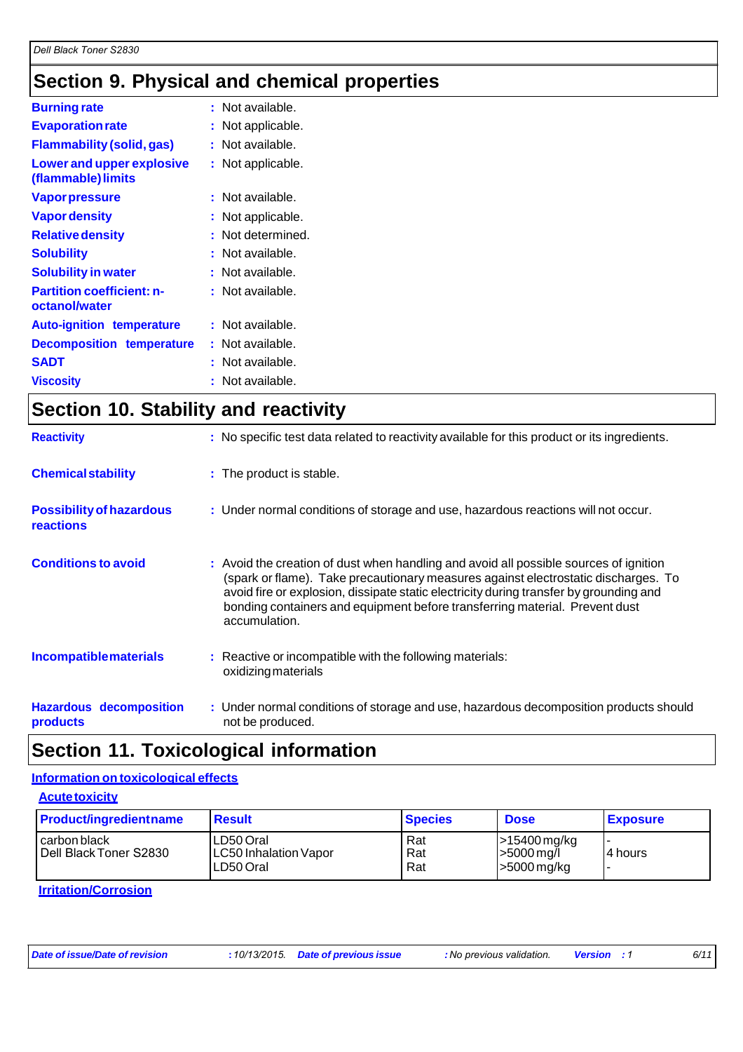## **Section 9. Physical and chemical properties**

| <b>Burning rate</b>                               | : Not available.  |
|---------------------------------------------------|-------------------|
| <b>Evaporation rate</b>                           | : Not applicable. |
| <b>Flammability (solid, gas)</b>                  | Not available.    |
| Lower and upper explosive<br>(flammable) limits   | : Not applicable. |
| <b>Vapor pressure</b>                             | : Not available.  |
| <b>Vapor density</b>                              | Not applicable.   |
| <b>Relative density</b>                           | Not determined.   |
| <b>Solubility</b>                                 | : Not available.  |
| <b>Solubility in water</b>                        | Not available.    |
| <b>Partition coefficient: n-</b><br>octanol/water | : Not available.  |
| <b>Auto-ignition temperature</b>                  | : Not available.  |
| <b>Decomposition temperature</b>                  | : Not available.  |
| <b>SADT</b>                                       | Not available.    |
| <b>Viscosity</b>                                  | Not available.    |

### **Section 10. Stability and reactivity**

| <b>Reactivity</b>                            | : No specific test data related to reactivity available for this product or its ingredients.                                                                                                                                                                                                                                                                          |
|----------------------------------------------|-----------------------------------------------------------------------------------------------------------------------------------------------------------------------------------------------------------------------------------------------------------------------------------------------------------------------------------------------------------------------|
| <b>Chemical stability</b>                    | : The product is stable.                                                                                                                                                                                                                                                                                                                                              |
| <b>Possibility of hazardous</b><br>reactions | : Under normal conditions of storage and use, hazardous reactions will not occur.                                                                                                                                                                                                                                                                                     |
| <b>Conditions to avoid</b>                   | : Avoid the creation of dust when handling and avoid all possible sources of ignition<br>(spark or flame). Take precautionary measures against electrostatic discharges. To<br>avoid fire or explosion, dissipate static electricity during transfer by grounding and<br>bonding containers and equipment before transferring material. Prevent dust<br>accumulation. |
| <b>Incompatiblematerials</b>                 | : Reactive or incompatible with the following materials:<br>oxidizing materials                                                                                                                                                                                                                                                                                       |
| <b>Hazardous decomposition</b><br>products   | : Under normal conditions of storage and use, hazardous decomposition products should<br>not be produced.                                                                                                                                                                                                                                                             |

### **Section 11. Toxicological information**

#### **Information on toxicological effects**

| <b>Acute toxicity</b>         |  |
|-------------------------------|--|
| <b>Product/ingredientname</b> |  |

| <b>Product/ingredient name</b>           | <b>Result</b>                                          | <b>Species</b>    | <b>Dose</b>                                              | <b>Exposure</b> |
|------------------------------------------|--------------------------------------------------------|-------------------|----------------------------------------------------------|-----------------|
| I carbon black<br>Dell Black Toner S2830 | LD50 Oral<br><b>LC50 Inhalation Vapor</b><br>LD50 Oral | Rat<br>Rat<br>Rat | -15400 mg/kg<br>$>5000 \,\mathrm{mg/l}$<br>$>5000$ mg/kg | l4 hours        |
| .                                        |                                                        |                   |                                                          |                 |

**Irritation/Corrosion**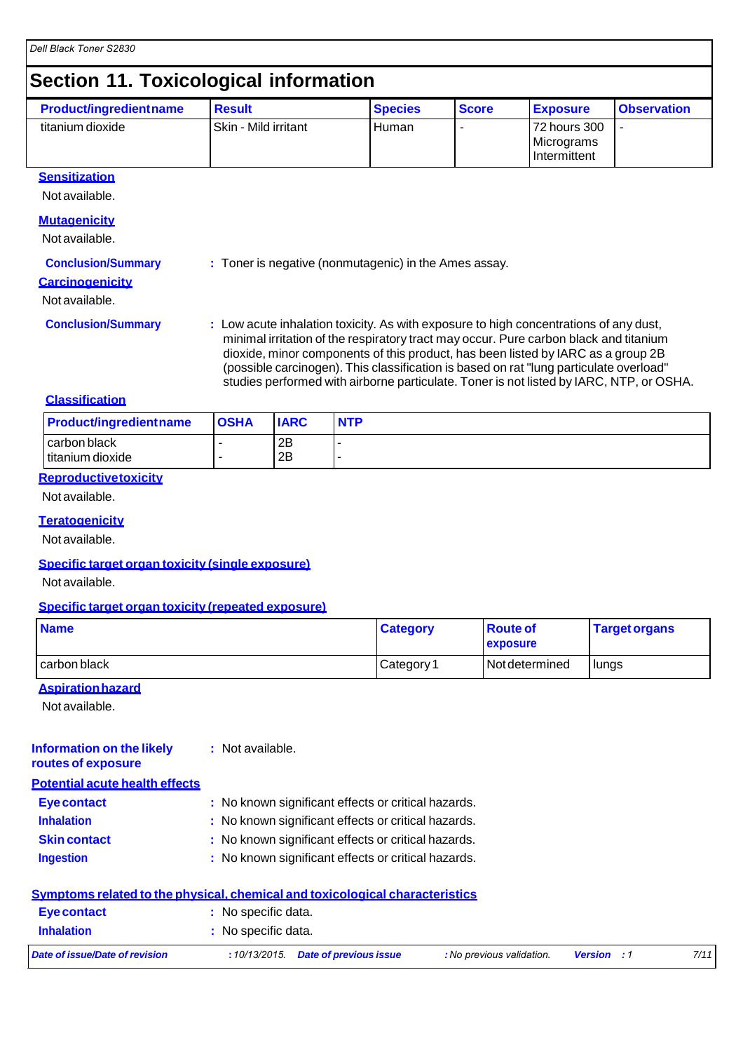### **Section 11. Toxicological information**

| <b>Product/ingredient name</b> | <b>Result</b>          | <b>Species</b> | <b>Score</b> | <b>Exposure</b>                                   | <b>Observation</b> |
|--------------------------------|------------------------|----------------|--------------|---------------------------------------------------|--------------------|
| titanium dioxide               | l Skin - Mild irritant | l Human        |              | 72 hours 300<br>Micrograms<br><b>Intermittent</b> |                    |

#### **Sensitization**

Not available.

#### **Mutagenicity**

Not available.

#### **Conclusion/Summary : Toner is negative (nonmutagenic) in the Ames assay.**

**Carcinogenicity**

#### Not available.

- 
- **Conclusion/Summary : Low acute inhalation toxicity. As with exposure to high concentrations of any dust,** minimal irritation of the respiratory tract may occur. Pure carbon black and titanium dioxide, minor components of this product, has been listed by IARC as a group 2B (possible carcinogen). This classification is based on rat "lung particulate overload" studies performed with airborne particulate. Toner is not listed by IARC, NTP, or OSHA.

#### **Classification**

| <b>Product/ingredientname</b>      | <b>OSHA</b> | <b>IARC</b> | <b>NTP</b> |
|------------------------------------|-------------|-------------|------------|
| carbon black<br>l titanium dioxide |             | 2B<br>2B    |            |

#### **Reproductive toxicity**

Not available.

#### **Teratogenicity**

Not available.

#### **Specific target organ toxicity (single exposure)**

Not available.

#### **Specific target organ toxicity (repeated exposure)**

| <b>Name</b>  | <b>Category</b> | <b>Route of</b><br><b>exposure</b> | <b>Target organs</b> |
|--------------|-----------------|------------------------------------|----------------------|
| carbon black | Category 1      | <b>Not determined</b>              | lungs                |

#### **Aspiration hazard**

Not available.

#### **Information on the likely routes of exposure :** Not available.

**Potential acute health effects**

| Eye contact         | : No known significant effects or critical hazards. |
|---------------------|-----------------------------------------------------|
| <b>Inhalation</b>   | : No known significant effects or critical hazards. |
| <b>Skin contact</b> | : No known significant effects or critical hazards. |
| <b>Ingestion</b>    | : No known significant effects or critical hazards. |
|                     |                                                     |

|                                | <u>Symptoms related to the physical, chemical and toxicological characteristics</u> |                           |                    |      |
|--------------------------------|-------------------------------------------------------------------------------------|---------------------------|--------------------|------|
| Eye contact                    | : No specific data.                                                                 |                           |                    |      |
| <b>Inhalation</b>              | : No specific data.                                                                 |                           |                    |      |
| Date of issue/Date of revision | $: 10/13/2015$ . Date of previous issue                                             | : No previous validation. | <b>Version</b> : 1 | 7/11 |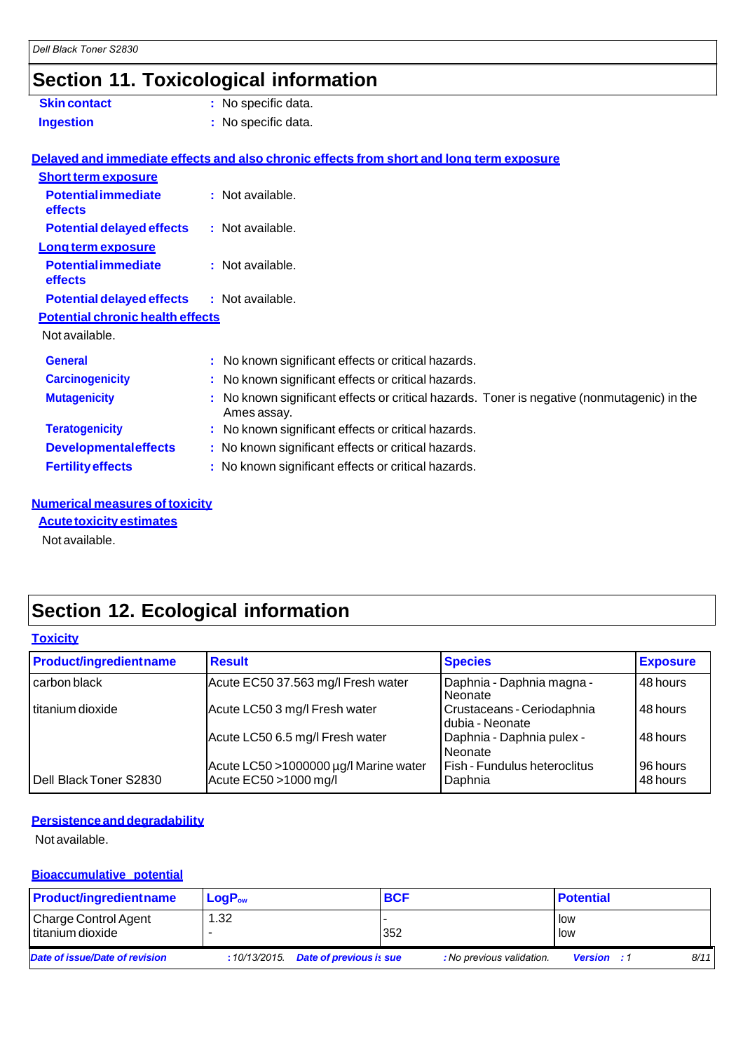## **Section 11. Toxicological information**

| <b>Skin contact</b>                          | : No specific data.                                                                                      |
|----------------------------------------------|----------------------------------------------------------------------------------------------------------|
| <b>Ingestion</b>                             | : No specific data.                                                                                      |
|                                              | Delayed and immediate effects and also chronic effects from short and long term exposure                 |
| <b>Short term exposure</b>                   |                                                                                                          |
| <b>Potential immediate</b><br><b>effects</b> | : Not available.                                                                                         |
| <b>Potential delayed effects</b>             | : Not available.                                                                                         |
| Long term exposure                           |                                                                                                          |
| <b>Potential immediate</b><br><b>effects</b> | : Not available.                                                                                         |
| <b>Potential delayed effects</b>             | : Not available.                                                                                         |
| <b>Potential chronic health effects</b>      |                                                                                                          |
| Not available.                               |                                                                                                          |
| <b>General</b>                               | : No known significant effects or critical hazards.                                                      |
| <b>Carcinogenicity</b>                       | : No known significant effects or critical hazards.                                                      |
| <b>Mutagenicity</b>                          | No known significant effects or critical hazards. Toner is negative (nonmutagenic) in the<br>Ames assay. |
| <b>Teratogenicity</b>                        | : No known significant effects or critical hazards.                                                      |
| <b>Developmentaleffects</b>                  | : No known significant effects or critical hazards.                                                      |
| <b>Fertility effects</b>                     | : No known significant effects or critical hazards.                                                      |
|                                              |                                                                                                          |

#### **Numerical measures of toxicity**

**Acute toxicity estimates**

Not available.

# **Section 12. Ecological information**

| <b>Toxicity</b>               |                                                                |                                               |                      |  |  |  |
|-------------------------------|----------------------------------------------------------------|-----------------------------------------------|----------------------|--|--|--|
| <b>Product/ingredientname</b> | <b>Result</b>                                                  | <b>Species</b>                                | <b>Exposure</b>      |  |  |  |
| carbon black                  | Acute EC50 37.563 mg/l Fresh water                             | Daphnia - Daphnia magna -<br>l Neonate        | 48 hours             |  |  |  |
| I titanium dioxide            | Acute LC50 3 mg/l Fresh water                                  | Crustaceans - Ceriodaphnia<br>dubia - Neonate | 48 hours             |  |  |  |
|                               | Acute LC50 6.5 mg/l Fresh water                                | Daphnia - Daphnia pulex -<br>Neonate          | 48 hours             |  |  |  |
| Dell Black Toner S2830        | Acute LC50 >1000000 µg/l Marine water<br>Acute EC50 >1000 mg/l | Fish - Fundulus heteroclitus<br>Daphnia       | 96 hours<br>48 hours |  |  |  |

#### **Persistence and degradability**

Not available.

#### **Bioaccumulative potential**

| <b>Product/ingredientname</b>            | $LogP_{ow}$  |                                | <b>BCF</b> |                           | <b>Potential</b>   |      |
|------------------------------------------|--------------|--------------------------------|------------|---------------------------|--------------------|------|
| Charge Control Agent<br>titanium dioxide | 1.32         |                                | 352        |                           | low<br><b>low</b>  |      |
| Date of issue/Date of revision           | :10/13/2015. | <b>Date of previous is sue</b> |            | : No previous validation. | <b>Version</b> : 1 | 8/11 |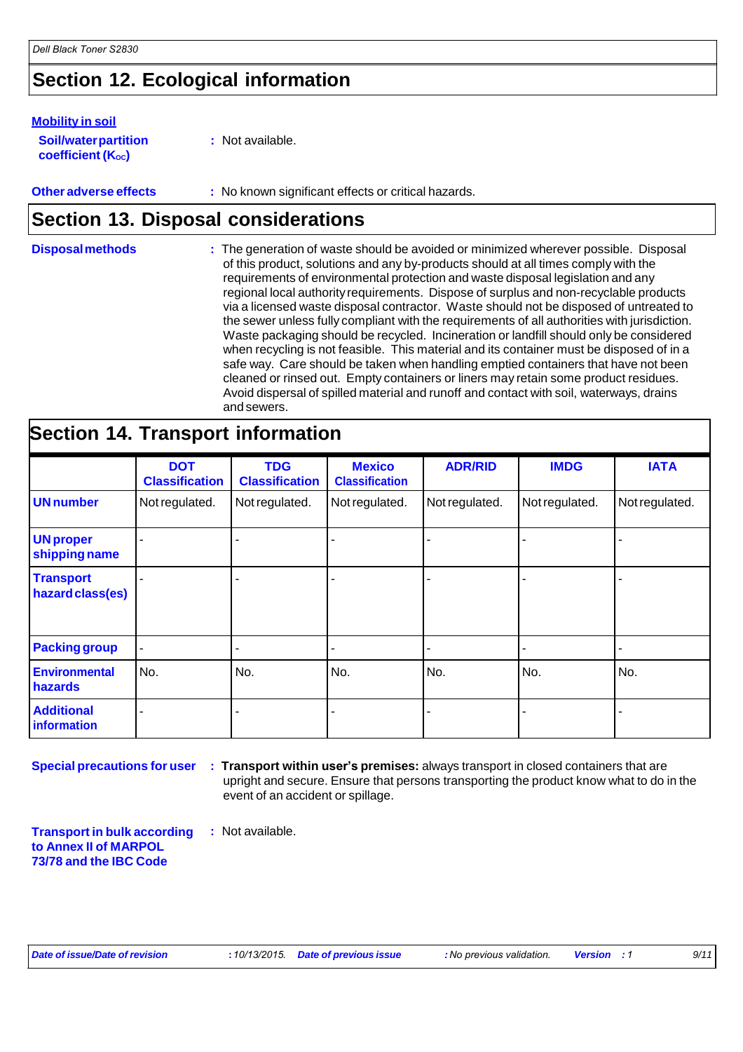### **Section 12. Ecological information**

#### **Mobility in soil**

**Soil/water partition coefficient (K**<sub>oc</sub>)

**:** Not available.

#### **Other adverse effects** : No known significant effects or critical hazards.

### **Section 13. Disposal considerations**

**Disposal methods :**  The generation of waste should be avoided or minimized wherever possible. Disposal of this product, solutions and any by-products should at all times comply with the requirements of environmental protection and waste disposal legislation and any regional local authority requirements. Dispose of surplus and non-recyclable products via a licensed waste disposal contractor. Waste should not be disposed of untreated to the sewer unless fully compliant with the requirements of all authorities with jurisdiction. Waste packaging should be recycled. Incineration or landfill should only be considered when recycling is not feasible. This material and its container must be disposed of in a safe way. Care should be taken when handling emptied containers that have not been cleaned or rinsed out. Empty containers or liners may retain some product residues. Avoid dispersal of spilled material and runoff and contact with soil, waterways, drains and sewers.

#### **Section 14. Transport information DOT Classification TDG Classification Mexico Classification ADR/RID IMDG IATA** UN number Not regulated. Not regulated. Not regulated. Not regulated. Not regulated. Not regulated. **UN proper shipping name** - - - - - - **Transport hazardclass(es)** - - - - - - **Packing group Environmental hazards** No. No. No. No. No. No. **Additional information** - - - - - -

**Special precautions for user**

**: Transport within user's premises:** always transport in closed containers that are upright and secure. Ensure that persons transporting the product know what to do in the event of an accident or spillage.

**Transport in bulk according to Annex II of MARPOL 73/78 and the IBC Code :** Not available.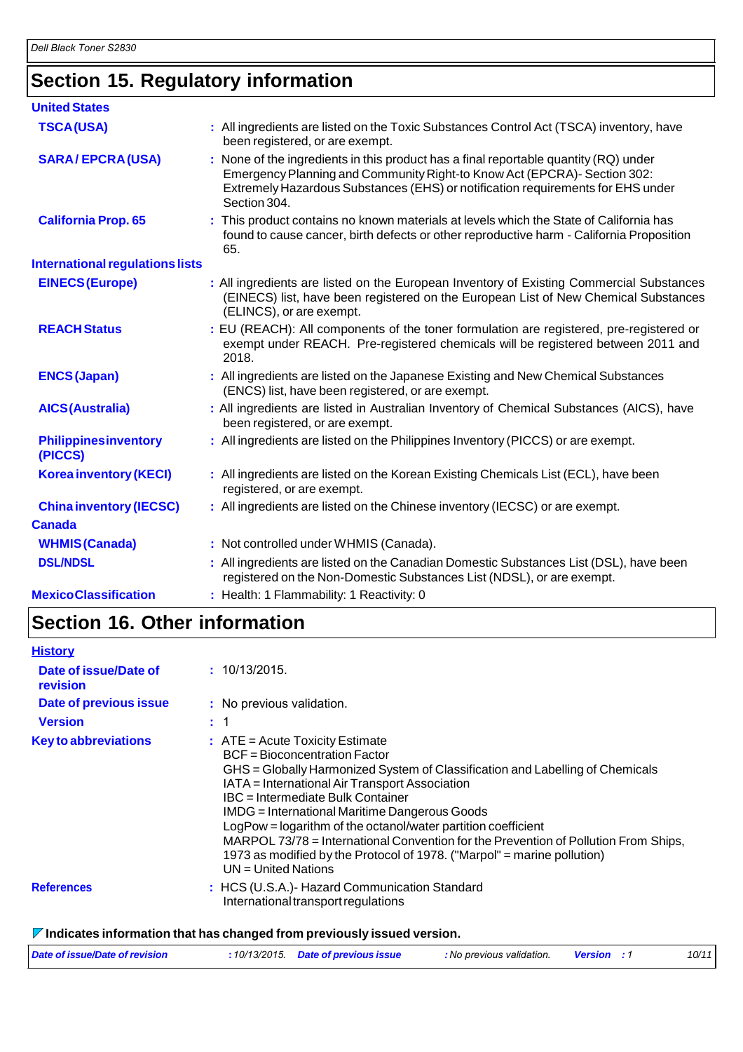## **Section 15. Regulatory information**

| <b>United States</b>                    |                                                                                                                                                                                                                                                                     |
|-----------------------------------------|---------------------------------------------------------------------------------------------------------------------------------------------------------------------------------------------------------------------------------------------------------------------|
| <b>TSCA(USA)</b>                        | : All ingredients are listed on the Toxic Substances Control Act (TSCA) inventory, have<br>been registered, or are exempt.                                                                                                                                          |
| <b>SARA/EPCRA(USA)</b>                  | : None of the ingredients in this product has a final reportable quantity (RQ) under<br>Emergency Planning and Community Right-to Know Act (EPCRA)- Section 302:<br>Extremely Hazardous Substances (EHS) or notification requirements for EHS under<br>Section 304. |
| <b>California Prop. 65</b>              | : This product contains no known materials at levels which the State of California has<br>found to cause cancer, birth defects or other reproductive harm - California Proposition<br>65.                                                                           |
| <b>International regulations lists</b>  |                                                                                                                                                                                                                                                                     |
| <b>EINECS (Europe)</b>                  | : All ingredients are listed on the European Inventory of Existing Commercial Substances<br>(EINECS) list, have been registered on the European List of New Chemical Substances<br>(ELINCS), or are exempt.                                                         |
| <b>REACH Status</b>                     | : EU (REACH): All components of the toner formulation are registered, pre-registered or<br>exempt under REACH. Pre-registered chemicals will be registered between 2011 and<br>2018.                                                                                |
| <b>ENCS (Japan)</b>                     | : All ingredients are listed on the Japanese Existing and New Chemical Substances<br>(ENCS) list, have been registered, or are exempt.                                                                                                                              |
| <b>AICS(Australia)</b>                  | : All ingredients are listed in Australian Inventory of Chemical Substances (AICS), have<br>been registered, or are exempt.                                                                                                                                         |
| <b>Philippines inventory</b><br>(PICCS) | : All ingredients are listed on the Philippines Inventory (PICCS) or are exempt.                                                                                                                                                                                    |
| <b>Korea inventory (KECI)</b>           | : All ingredients are listed on the Korean Existing Chemicals List (ECL), have been<br>registered, or are exempt.                                                                                                                                                   |
| <b>China inventory (IECSC)</b>          | : All ingredients are listed on the Chinese inventory (IECSC) or are exempt.                                                                                                                                                                                        |
| <b>Canada</b>                           |                                                                                                                                                                                                                                                                     |
| <b>WHMIS (Canada)</b>                   | : Not controlled under WHMIS (Canada).                                                                                                                                                                                                                              |
| <b>DSL/NDSL</b>                         | : All ingredients are listed on the Canadian Domestic Substances List (DSL), have been<br>registered on the Non-Domestic Substances List (NDSL), or are exempt.                                                                                                     |
| <b>MexicoClassification</b>             | : Health: 1 Flammability: 1 Reactivity: 0                                                                                                                                                                                                                           |

## **Section 16. Other information**

| <b>History</b>                    |                                                                                                                                                                                                                                                                                                                                                                                                                                                                                                                                                                       |
|-----------------------------------|-----------------------------------------------------------------------------------------------------------------------------------------------------------------------------------------------------------------------------------------------------------------------------------------------------------------------------------------------------------------------------------------------------------------------------------------------------------------------------------------------------------------------------------------------------------------------|
| Date of issue/Date of<br>revision | : 10/13/2015.                                                                                                                                                                                                                                                                                                                                                                                                                                                                                                                                                         |
| <b>Date of previous issue</b>     | : No previous validation.                                                                                                                                                                                                                                                                                                                                                                                                                                                                                                                                             |
| <b>Version</b>                    | : 1                                                                                                                                                                                                                                                                                                                                                                                                                                                                                                                                                                   |
| <b>Key to abbreviations</b>       | $\therefore$ ATE = Acute Toxicity Estimate<br><b>BCF</b> = Bioconcentration Factor<br>GHS = Globally Harmonized System of Classification and Labelling of Chemicals<br>IATA = International Air Transport Association<br>IBC = Intermediate Bulk Container<br>IMDG = International Maritime Dangerous Goods<br>LogPow = logarithm of the octanol/water partition coefficient<br>MARPOL 73/78 = International Convention for the Prevention of Pollution From Ships,<br>1973 as modified by the Protocol of 1978. ("Marpol" = marine pollution)<br>UN = United Nations |
| <b>References</b>                 | : HCS (U.S.A.)- Hazard Communication Standard<br>International transport regulations                                                                                                                                                                                                                                                                                                                                                                                                                                                                                  |
|                                   |                                                                                                                                                                                                                                                                                                                                                                                                                                                                                                                                                                       |

#### **Indicates information that has changed from previously issued version.**

| Date of issue/Date of revision | : 10/13/2015. Date of previous issue | : No previous validation. | <b>Version</b> : 1 | 10/11 |
|--------------------------------|--------------------------------------|---------------------------|--------------------|-------|
|                                |                                      |                           |                    |       |